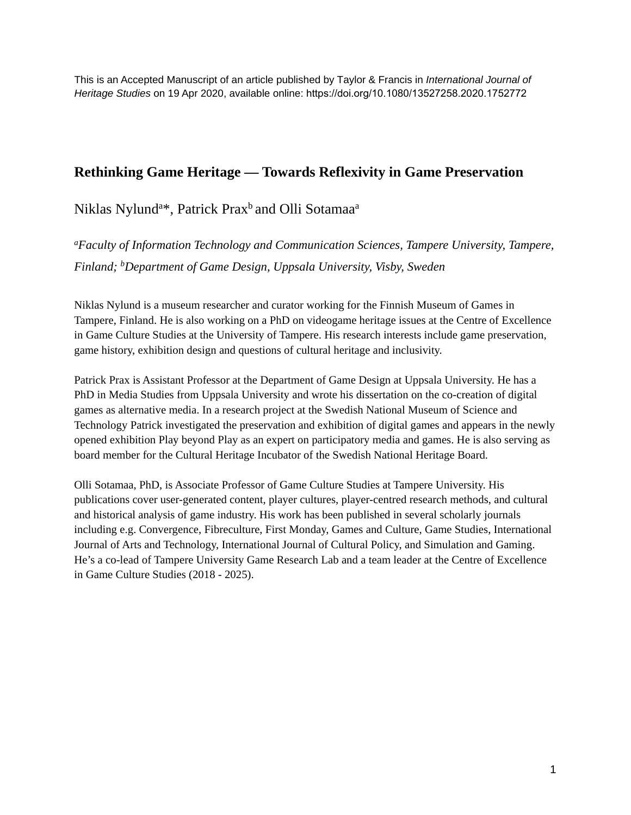This is an Accepted Manuscript of an article published by Taylor & Francis in *International Journal of Heritage Studies* on 19 Apr 2020, available online: [https://doi.org/10.1080/13527258.2020](http://dx.doi.org/10.1037/dev0000633).1752772

# **Rethinking Game Heritage — Towards Reflexivity in Game Preservation**

Niklas Nylund<sup>a</sup>\*, Patrick Prax<sup>b</sup> and Olli Sotamaa<sup>a</sup>

*aFaculty of Information Technology and Communication Sciences, Tampere University, Tampere, Finland; bDepartment of Game Design, Uppsala University, Visby, Sweden*

Niklas Nylund is a museum researcher and curator working for the Finnish Museum of Games in Tampere, Finland. He is also working on a PhD on videogame heritage issues at the Centre of Excellence in Game Culture Studies at the University of Tampere. His research interests include game preservation, game history, exhibition design and questions of cultural heritage and inclusivity.

Patrick Prax is Assistant Professor at the Department of Game Design at Uppsala University. He has a PhD in Media Studies from Uppsala University and wrote his dissertation on the co-creation of digital games as alternative media. In a research project at the Swedish National Museum of Science and Technology Patrick investigated the preservation and exhibition of digital games and appears in the newly opened exhibition Play beyond Play as an expert on participatory media and games. He is also serving as board member for the Cultural Heritage Incubator of the Swedish National Heritage Board.

Olli Sotamaa, PhD, is Associate Professor of Game Culture Studies at Tampere University. His publications cover user-generated content, player cultures, player-centred research methods, and cultural and historical analysis of game industry. His work has been published in several scholarly journals including e.g. Convergence, Fibreculture, First Monday, Games and Culture, Game Studies, International Journal of Arts and Technology, International Journal of Cultural Policy, and Simulation and Gaming. He's a co-lead of Tampere University Game Research Lab and a team leader at the Centre of Excellence in Game Culture Studies (2018 - 2025).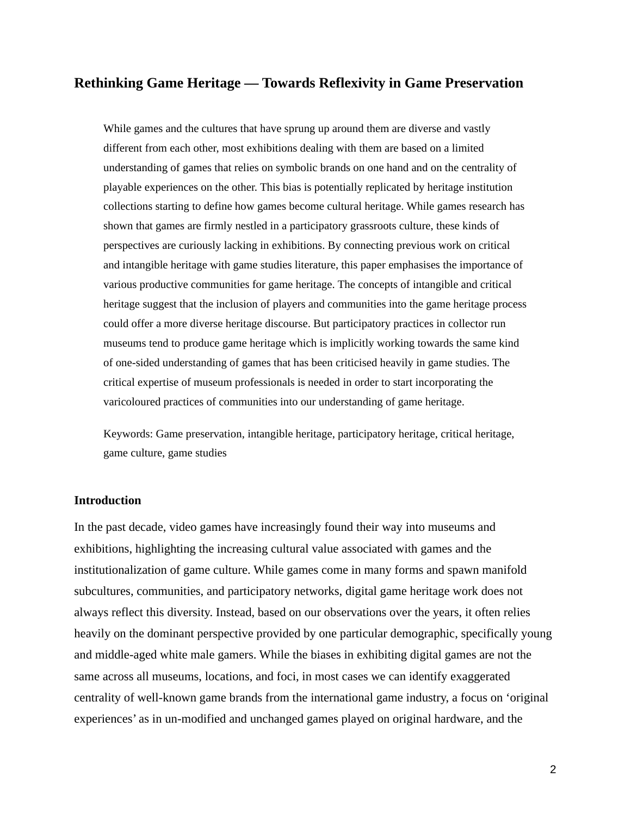# **Rethinking Game Heritage — Towards Reflexivity in Game Preservation**

While games and the cultures that have sprung up around them are diverse and vastly different from each other, most exhibitions dealing with them are based on a limited understanding of games that relies on symbolic brands on one hand and on the centrality of playable experiences on the other. This bias is potentially replicated by heritage institution collections starting to define how games become cultural heritage. While games research has shown that games are firmly nestled in a participatory grassroots culture, these kinds of perspectives are curiously lacking in exhibitions. By connecting previous work on critical and intangible heritage with game studies literature, this paper emphasises the importance of various productive communities for game heritage. The concepts of intangible and critical heritage suggest that the inclusion of players and communities into the game heritage process could offer a more diverse heritage discourse. But participatory practices in collector run museums tend to produce game heritage which is implicitly working towards the same kind of one-sided understanding of games that has been criticised heavily in game studies. The critical expertise of museum professionals is needed in order to start incorporating the varicoloured practices of communities into our understanding of game heritage.

Keywords: Game preservation, intangible heritage, participatory heritage, critical heritage, game culture, game studies

# **Introduction**

In the past decade, video games have increasingly found their way into museums and exhibitions, highlighting the increasing cultural value associated with games and the institutionalization of game culture. While games come in many forms and spawn manifold subcultures, communities, and participatory networks, digital game heritage work does not always reflect this diversity. Instead, based on our observations over the years, it often relies heavily on the dominant perspective provided by one particular demographic, specifically young and middle-aged white male gamers. While the biases in exhibiting digital games are not the same across all museums, locations, and foci, in most cases we can identify exaggerated centrality of well-known game brands from the international game industry, a focus on 'original experiences' as in un-modified and unchanged games played on original hardware, and the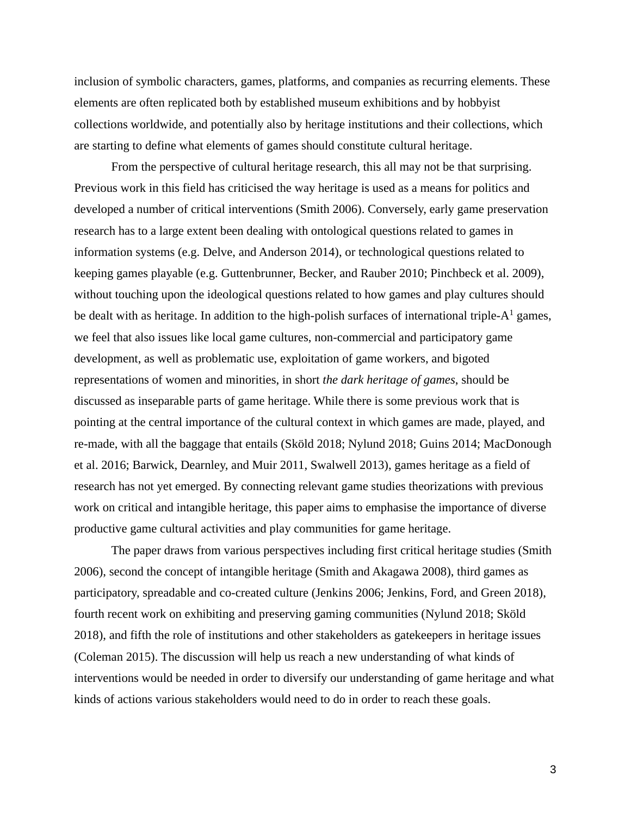inclusion of symbolic characters, games, platforms, and companies as recurring elements. These elements are often replicated both by established museum exhibitions and by hobbyist collections worldwide, and potentially also by heritage institutions and their collections, which are starting to define what elements of games should constitute cultural heritage.

From the perspective of cultural heritage research, this all may not be that surprising. Previous work in this field has criticised the way heritage is used as a means for politics and developed a number of critical interventions (Smith 2006). Conversely, early game preservation research has to a large extent been dealing with ontological questions related to games in information systems (e.g. Delve, and Anderson 2014), or technological questions related to keeping games playable (e.g. Guttenbrunner, Becker, and Rauber 2010; Pinchbeck et al. 2009), without touching upon the ideological questions related to how games and play cultures should be dealt with as heritage. In addition to the high-polish surfaces of international triple- $A<sup>1</sup>$  games, we feel that also issues like local game cultures, non-commercial and participatory game development, as well as problematic use, exploitation of game workers, and bigoted representations of women and minorities, in short *the dark heritage of games*, should be discussed as inseparable parts of game heritage. While there is some previous work that is pointing at the central importance of the cultural context in which games are made, played, and re-made, with all the baggage that entails (Sköld 2018; Nylund 2018; Guins 2014; MacDonough et al. 2016; Barwick, Dearnley, and Muir 2011, Swalwell 2013), games heritage as a field of research has not yet emerged. By connecting relevant game studies theorizations with previous work on critical and intangible heritage, this paper aims to emphasise the importance of diverse productive game cultural activities and play communities for game heritage.

The paper draws from various perspectives including first critical heritage studies (Smith 2006), second the concept of intangible heritage (Smith and Akagawa 2008), third games as participatory, spreadable and co-created culture (Jenkins 2006; Jenkins, Ford, and Green 2018), fourth recent work on exhibiting and preserving gaming communities (Nylund 2018; Sköld 2018), and fifth the role of institutions and other stakeholders as gatekeepers in heritage issues (Coleman 2015). The discussion will help us reach a new understanding of what kinds of interventions would be needed in order to diversify our understanding of game heritage and what kinds of actions various stakeholders would need to do in order to reach these goals.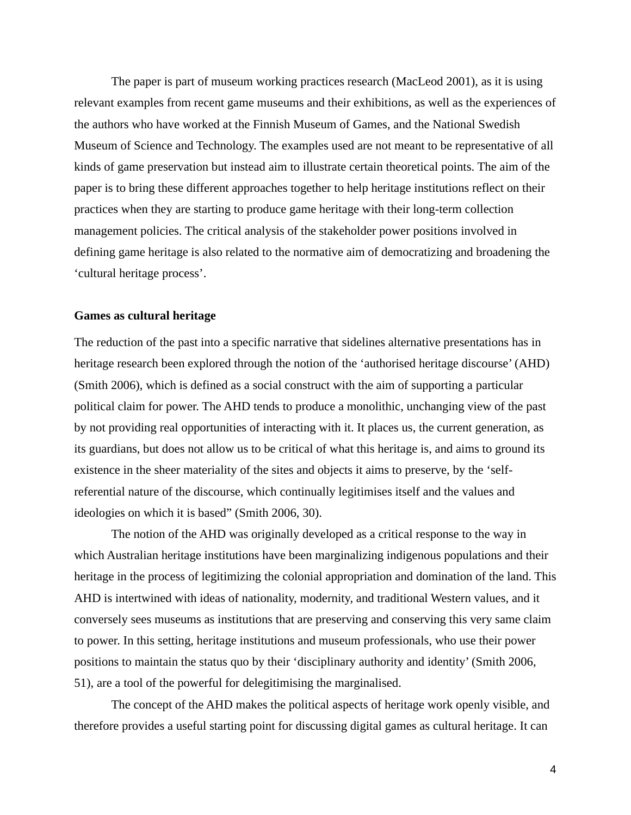The paper is part of museum working practices research (MacLeod 2001), as it is using relevant examples from recent game museums and their exhibitions, as well as the experiences of the authors who have worked at the Finnish Museum of Games, and the National Swedish Museum of Science and Technology. The examples used are not meant to be representative of all kinds of game preservation but instead aim to illustrate certain theoretical points. The aim of the paper is to bring these different approaches together to help heritage institutions reflect on their practices when they are starting to produce game heritage with their long-term collection management policies. The critical analysis of the stakeholder power positions involved in defining game heritage is also related to the normative aim of democratizing and broadening the 'cultural heritage process'.

## **Games as cultural heritage**

The reduction of the past into a specific narrative that sidelines alternative presentations has in heritage research been explored through the notion of the 'authorised heritage discourse' (AHD) (Smith 2006), which is defined as a social construct with the aim of supporting a particular political claim for power. The AHD tends to produce a monolithic, unchanging view of the past by not providing real opportunities of interacting with it. It places us, the current generation, as its guardians, but does not allow us to be critical of what this heritage is, and aims to ground its existence in the sheer materiality of the sites and objects it aims to preserve, by the 'selfreferential nature of the discourse, which continually legitimises itself and the values and ideologies on which it is based" (Smith 2006, 30).

The notion of the AHD was originally developed as a critical response to the way in which Australian heritage institutions have been marginalizing indigenous populations and their heritage in the process of legitimizing the colonial appropriation and domination of the land. This AHD is intertwined with ideas of nationality, modernity, and traditional Western values, and it conversely sees museums as institutions that are preserving and conserving this very same claim to power. In this setting, heritage institutions and museum professionals, who use their power positions to maintain the status quo by their 'disciplinary authority and identity' (Smith 2006, 51), are a tool of the powerful for delegitimising the marginalised.

The concept of the AHD makes the political aspects of heritage work openly visible, and therefore provides a useful starting point for discussing digital games as cultural heritage. It can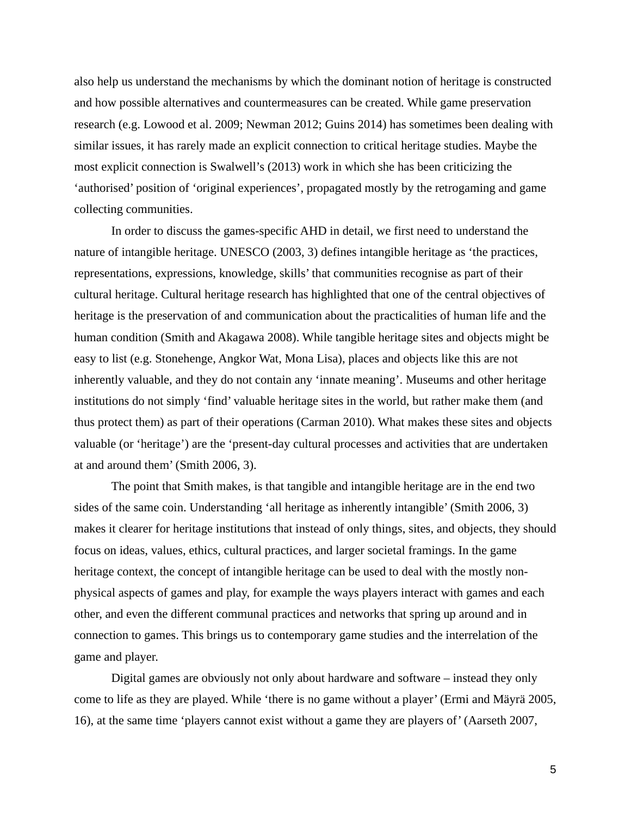also help us understand the mechanisms by which the dominant notion of heritage is constructed and how possible alternatives and countermeasures can be created. While game preservation research (e.g. Lowood et al. 2009; Newman 2012; Guins 2014) has sometimes been dealing with similar issues, it has rarely made an explicit connection to critical heritage studies. Maybe the most explicit connection is Swalwell's (2013) work in which she has been criticizing the 'authorised' position of 'original experiences', propagated mostly by the retrogaming and game collecting communities.

In order to discuss the games-specific AHD in detail, we first need to understand the nature of intangible heritage. UNESCO (2003, 3) defines intangible heritage as 'the practices, representations, expressions, knowledge, skills' that communities recognise as part of their cultural heritage. Cultural heritage research has highlighted that one of the central objectives of heritage is the preservation of and communication about the practicalities of human life and the human condition (Smith and Akagawa 2008). While tangible heritage sites and objects might be easy to list (e.g. Stonehenge, Angkor Wat, Mona Lisa), places and objects like this are not inherently valuable, and they do not contain any 'innate meaning'. Museums and other heritage institutions do not simply 'find' valuable heritage sites in the world, but rather make them (and thus protect them) as part of their operations (Carman 2010). What makes these sites and objects valuable (or 'heritage') are the 'present-day cultural processes and activities that are undertaken at and around them' (Smith 2006, 3).

The point that Smith makes, is that tangible and intangible heritage are in the end two sides of the same coin. Understanding 'all heritage as inherently intangible' (Smith 2006, 3) makes it clearer for heritage institutions that instead of only things, sites, and objects, they should focus on ideas, values, ethics, cultural practices, and larger societal framings. In the game heritage context, the concept of intangible heritage can be used to deal with the mostly nonphysical aspects of games and play, for example the ways players interact with games and each other, and even the different communal practices and networks that spring up around and in connection to games. This brings us to contemporary game studies and the interrelation of the game and player.

Digital games are obviously not only about hardware and software – instead they only come to life as they are played. While 'there is no game without a player' (Ermi and Mäyrä 2005, 16), at the same time 'players cannot exist without a game they are players of' (Aarseth 2007,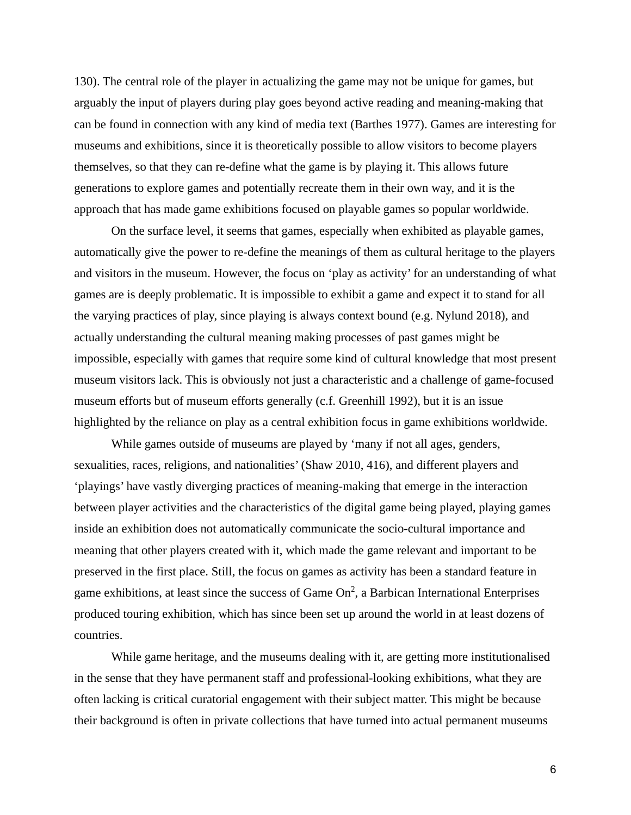130). The central role of the player in actualizing the game may not be unique for games, but arguably the input of players during play goes beyond active reading and meaning-making that can be found in connection with any kind of media text (Barthes 1977). Games are interesting for museums and exhibitions, since it is theoretically possible to allow visitors to become players themselves, so that they can re-define what the game is by playing it. This allows future generations to explore games and potentially recreate them in their own way, and it is the approach that has made game exhibitions focused on playable games so popular worldwide.

On the surface level, it seems that games, especially when exhibited as playable games, automatically give the power to re-define the meanings of them as cultural heritage to the players and visitors in the museum. However, the focus on 'play as activity' for an understanding of what games are is deeply problematic. It is impossible to exhibit a game and expect it to stand for all the varying practices of play, since playing is always context bound (e.g. Nylund 2018), and actually understanding the cultural meaning making processes of past games might be impossible, especially with games that require some kind of cultural knowledge that most present museum visitors lack. This is obviously not just a characteristic and a challenge of game-focused museum efforts but of museum efforts generally (c.f. Greenhill 1992), but it is an issue highlighted by the reliance on play as a central exhibition focus in game exhibitions worldwide.

While games outside of museums are played by 'many if not all ages, genders, sexualities, races, religions, and nationalities' (Shaw 2010, 416), and different players and 'playings' have vastly diverging practices of meaning-making that emerge in the interaction between player activities and the characteristics of the digital game being played, playing games inside an exhibition does not automatically communicate the socio-cultural importance and meaning that other players created with it, which made the game relevant and important to be preserved in the first place. Still, the focus on games as activity has been a standard feature in game exhibitions, at least since the success of Game  $On<sup>2</sup>$ , a Barbican International Enterprises produced touring exhibition, which has since been set up around the world in at least dozens of countries.

While game heritage, and the museums dealing with it, are getting more institutionalised in the sense that they have permanent staff and professional-looking exhibitions, what they are often lacking is critical curatorial engagement with their subject matter. This might be because their background is often in private collections that have turned into actual permanent museums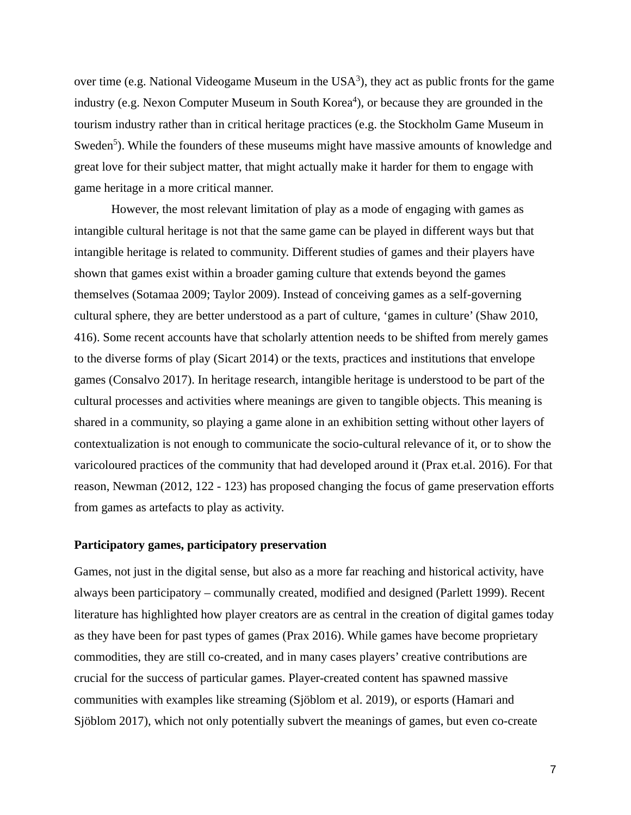over time (e.g. National Videogame Museum in the  $USA^3$ ), they act as public fronts for the game industry (e.g. Nexon Computer Museum in South Korea<sup>4</sup>), or because they are grounded in the tourism industry rather than in critical heritage practices (e.g. the Stockholm Game Museum in Sweden<sup>5</sup>). While the founders of these museums might have massive amounts of knowledge and great love for their subject matter, that might actually make it harder for them to engage with game heritage in a more critical manner.

However, the most relevant limitation of play as a mode of engaging with games as intangible cultural heritage is not that the same game can be played in different ways but that intangible heritage is related to community. Different studies of games and their players have shown that games exist within a broader gaming culture that extends beyond the games themselves (Sotamaa 2009; Taylor 2009). Instead of conceiving games as a self-governing cultural sphere, they are better understood as a part of culture, 'games in culture' (Shaw 2010, 416). Some recent accounts have that scholarly attention needs to be shifted from merely games to the diverse forms of play (Sicart 2014) or the texts, practices and institutions that envelope games (Consalvo 2017). In heritage research, intangible heritage is understood to be part of the cultural processes and activities where meanings are given to tangible objects. This meaning is shared in a community, so playing a game alone in an exhibition setting without other layers of contextualization is not enough to communicate the socio-cultural relevance of it, or to show the varicoloured practices of the community that had developed around it (Prax et.al. 2016). For that reason, Newman (2012, 122 - 123) has proposed changing the focus of game preservation efforts from games as artefacts to play as activity.

## **Participatory games, participatory preservation**

Games, not just in the digital sense, but also as a more far reaching and historical activity, have always been participatory – communally created, modified and designed (Parlett 1999). Recent literature has highlighted how player creators are as central in the creation of digital games today as they have been for past types of games (Prax 2016). While games have become proprietary commodities, they are still co-created, and in many cases players' creative contributions are crucial for the success of particular games. Player-created content has spawned massive communities with examples like streaming (Sjöblom et al. 2019), or esports (Hamari and Sjöblom 2017), which not only potentially subvert the meanings of games, but even co-create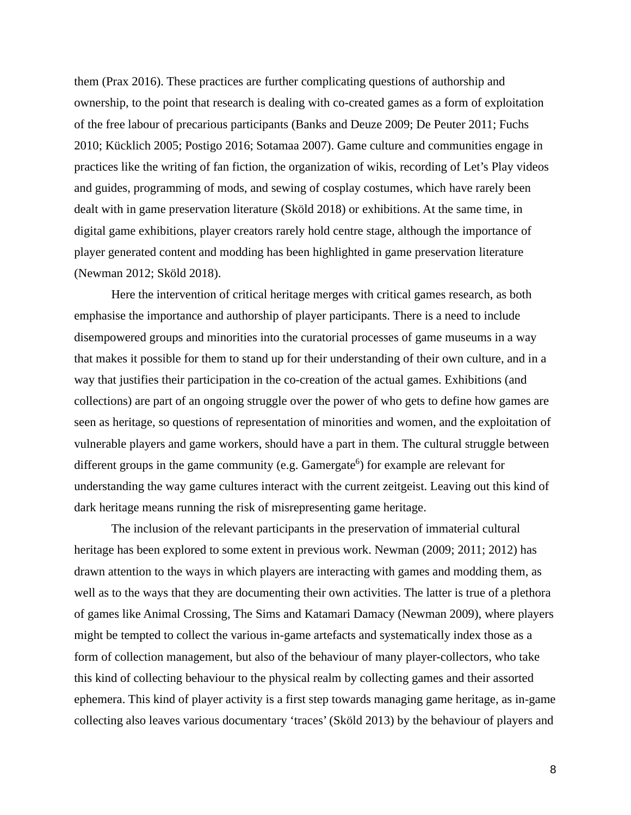them (Prax 2016). These practices are further complicating questions of authorship and ownership, to the point that research is dealing with co-created games as a form of exploitation of the free labour of precarious participants (Banks and Deuze 2009; De Peuter 2011; Fuchs 2010; Kücklich 2005; Postigo 2016; Sotamaa 2007). Game culture and communities engage in practices like the writing of fan fiction, the organization of wikis, recording of Let's Play videos and guides, programming of mods, and sewing of cosplay costumes, which have rarely been dealt with in game preservation literature (Sköld 2018) or exhibitions. At the same time, in digital game exhibitions, player creators rarely hold centre stage, although the importance of player generated content and modding has been highlighted in game preservation literature (Newman 2012; Sköld 2018).

Here the intervention of critical heritage merges with critical games research, as both emphasise the importance and authorship of player participants. There is a need to include disempowered groups and minorities into the curatorial processes of game museums in a way that makes it possible for them to stand up for their understanding of their own culture, and in a way that justifies their participation in the co-creation of the actual games. Exhibitions (and collections) are part of an ongoing struggle over the power of who gets to define how games are seen as heritage, so questions of representation of minorities and women, and the exploitation of vulnerable players and game workers, should have a part in them. The cultural struggle between different groups in the game community (e.g. Gamergate<sup>6</sup>) for example are relevant for understanding the way game cultures interact with the current zeitgeist. Leaving out this kind of dark heritage means running the risk of misrepresenting game heritage.

The inclusion of the relevant participants in the preservation of immaterial cultural heritage has been explored to some extent in previous work. Newman (2009; 2011; 2012) has drawn attention to the ways in which players are interacting with games and modding them, as well as to the ways that they are documenting their own activities. The latter is true of a plethora of games like Animal Crossing, The Sims and Katamari Damacy (Newman 2009), where players might be tempted to collect the various in-game artefacts and systematically index those as a form of collection management, but also of the behaviour of many player-collectors, who take this kind of collecting behaviour to the physical realm by collecting games and their assorted ephemera. This kind of player activity is a first step towards managing game heritage, as in-game collecting also leaves various documentary 'traces' (Sköld 2013) by the behaviour of players and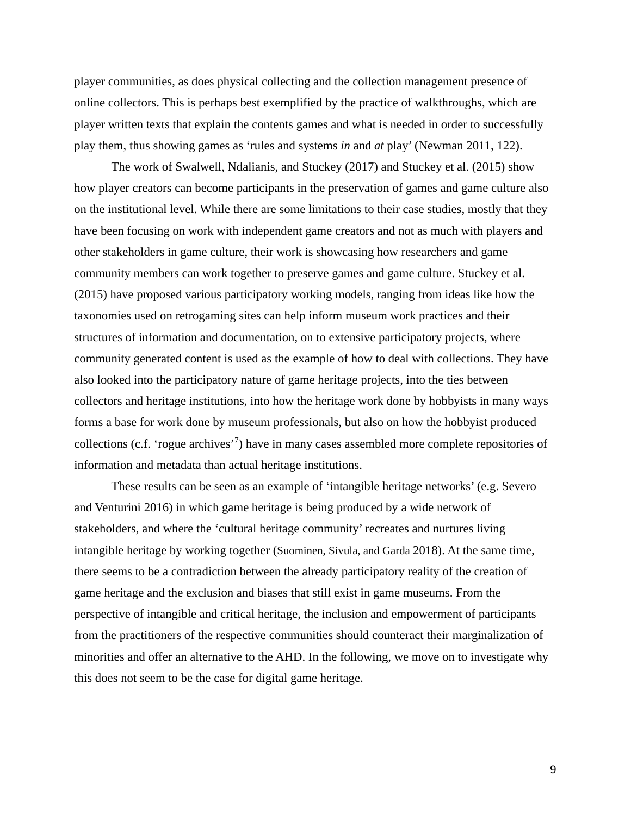player communities, as does physical collecting and the collection management presence of online collectors. This is perhaps best exemplified by the practice of walkthroughs, which are player written texts that explain the contents games and what is needed in order to successfully play them, thus showing games as 'rules and systems *in* and *at* play' (Newman 2011, 122).

The work of Swalwell, Ndalianis, and Stuckey (2017) and Stuckey et al. (2015) show how player creators can become participants in the preservation of games and game culture also on the institutional level. While there are some limitations to their case studies, mostly that they have been focusing on work with independent game creators and not as much with players and other stakeholders in game culture, their work is showcasing how researchers and game community members can work together to preserve games and game culture. Stuckey et al. (2015) have proposed various participatory working models, ranging from ideas like how the taxonomies used on retrogaming sites can help inform museum work practices and their structures of information and documentation, on to extensive participatory projects, where community generated content is used as the example of how to deal with collections. They have also looked into the participatory nature of game heritage projects, into the ties between collectors and heritage institutions, into how the heritage work done by hobbyists in many ways forms a base for work done by museum professionals, but also on how the hobbyist produced collections (c.f. 'rogue archives'<sup>7</sup> ) have in many cases assembled more complete repositories of information and metadata than actual heritage institutions.

These results can be seen as an example of 'intangible heritage networks' (e.g. Severo and Venturini 2016) in which game heritage is being produced by a wide network of stakeholders, and where the 'cultural heritage community' recreates and nurtures living intangible heritage by working together (Suominen, Sivula, and Garda 2018). At the same time, there seems to be a contradiction between the already participatory reality of the creation of game heritage and the exclusion and biases that still exist in game museums. From the perspective of intangible and critical heritage, the inclusion and empowerment of participants from the practitioners of the respective communities should counteract their marginalization of minorities and offer an alternative to the AHD. In the following, we move on to investigate why this does not seem to be the case for digital game heritage.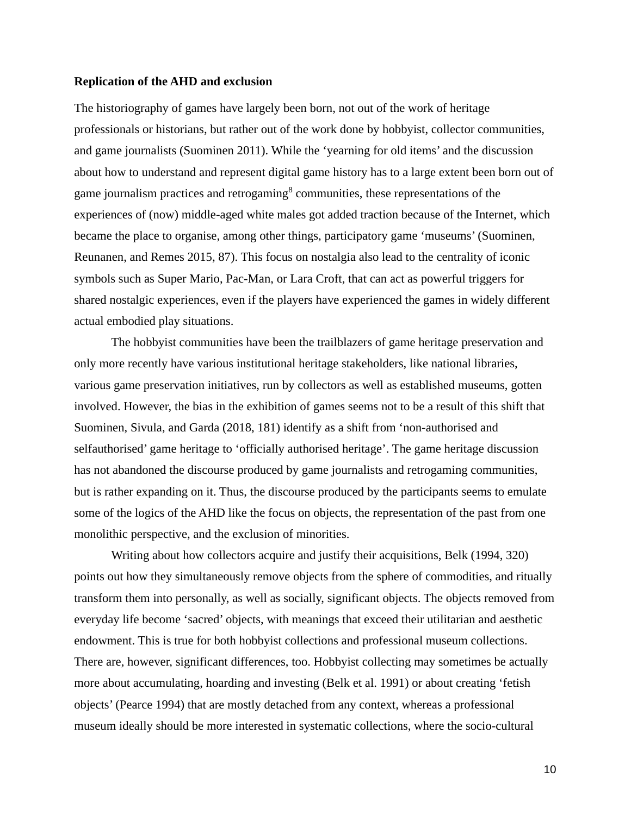## **Replication of the AHD and exclusion**

The historiography of games have largely been born, not out of the work of heritage professionals or historians, but rather out of the work done by hobbyist, collector communities, and game journalists (Suominen 2011). While the 'yearning for old items' and the discussion about how to understand and represent digital game history has to a large extent been born out of game journalism practices and retrogaming<sup>8</sup> communities, these representations of the experiences of (now) middle-aged white males got added traction because of the Internet, which became the place to organise, among other things, participatory game 'museums' (Suominen, Reunanen, and Remes 2015, 87). This focus on nostalgia also lead to the centrality of iconic symbols such as Super Mario, Pac-Man, or Lara Croft, that can act as powerful triggers for shared nostalgic experiences, even if the players have experienced the games in widely different actual embodied play situations.

The hobbyist communities have been the trailblazers of game heritage preservation and only more recently have various institutional heritage stakeholders, like national libraries, various game preservation initiatives, run by collectors as well as established museums, gotten involved. However, the bias in the exhibition of games seems not to be a result of this shift that Suominen, Sivula, and Garda (2018, 181) identify as a shift from 'non-authorised and selfauthorised' game heritage to 'officially authorised heritage'. The game heritage discussion has not abandoned the discourse produced by game journalists and retrogaming communities, but is rather expanding on it. Thus, the discourse produced by the participants seems to emulate some of the logics of the AHD like the focus on objects, the representation of the past from one monolithic perspective, and the exclusion of minorities.

Writing about how collectors acquire and justify their acquisitions, Belk (1994, 320) points out how they simultaneously remove objects from the sphere of commodities, and ritually transform them into personally, as well as socially, significant objects. The objects removed from everyday life become 'sacred' objects, with meanings that exceed their utilitarian and aesthetic endowment. This is true for both hobbyist collections and professional museum collections. There are, however, significant differences, too. Hobbyist collecting may sometimes be actually more about accumulating, hoarding and investing (Belk et al. 1991) or about creating 'fetish objects' (Pearce 1994) that are mostly detached from any context, whereas a professional museum ideally should be more interested in systematic collections, where the socio-cultural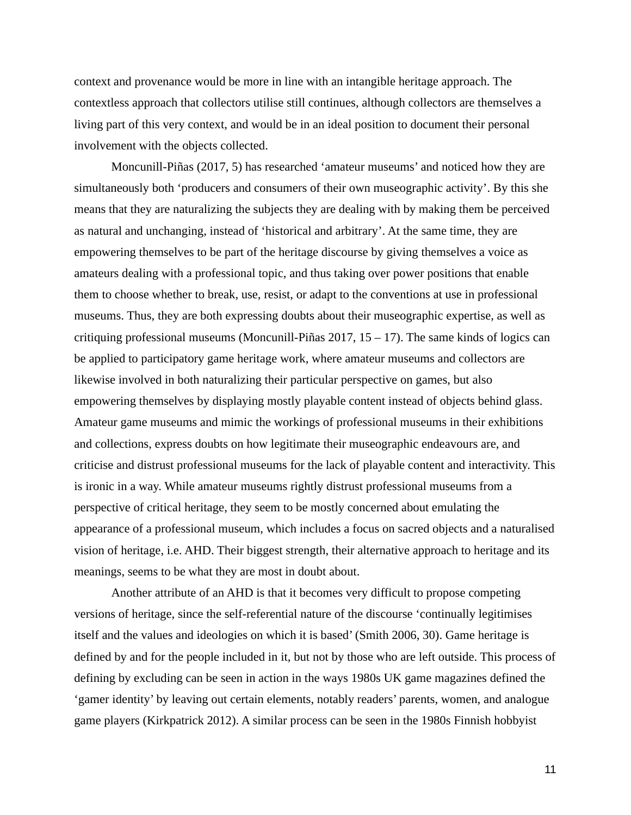context and provenance would be more in line with an intangible heritage approach. The contextless approach that collectors utilise still continues, although collectors are themselves a living part of this very context, and would be in an ideal position to document their personal involvement with the objects collected.

Moncunill-Piñas (2017, 5) has researched 'amateur museums' and noticed how they are simultaneously both 'producers and consumers of their own museographic activity'. By this she means that they are naturalizing the subjects they are dealing with by making them be perceived as natural and unchanging, instead of 'historical and arbitrary'. At the same time, they are empowering themselves to be part of the heritage discourse by giving themselves a voice as amateurs dealing with a professional topic, and thus taking over power positions that enable them to choose whether to break, use, resist, or adapt to the conventions at use in professional museums. Thus, they are both expressing doubts about their museographic expertise, as well as critiquing professional museums (Moncunill-Piñas  $2017$ ,  $15 - 17$ ). The same kinds of logics can be applied to participatory game heritage work, where amateur museums and collectors are likewise involved in both naturalizing their particular perspective on games, but also empowering themselves by displaying mostly playable content instead of objects behind glass. Amateur game museums and mimic the workings of professional museums in their exhibitions and collections, express doubts on how legitimate their museographic endeavours are, and criticise and distrust professional museums for the lack of playable content and interactivity. This is ironic in a way. While amateur museums rightly distrust professional museums from a perspective of critical heritage, they seem to be mostly concerned about emulating the appearance of a professional museum, which includes a focus on sacred objects and a naturalised vision of heritage, i.e. AHD. Their biggest strength, their alternative approach to heritage and its meanings, seems to be what they are most in doubt about.

Another attribute of an AHD is that it becomes very difficult to propose competing versions of heritage, since the self-referential nature of the discourse 'continually legitimises itself and the values and ideologies on which it is based' (Smith 2006, 30). Game heritage is defined by and for the people included in it, but not by those who are left outside. This process of defining by excluding can be seen in action in the ways 1980s UK game magazines defined the 'gamer identity' by leaving out certain elements, notably readers' parents, women, and analogue game players (Kirkpatrick 2012). A similar process can be seen in the 1980s Finnish hobbyist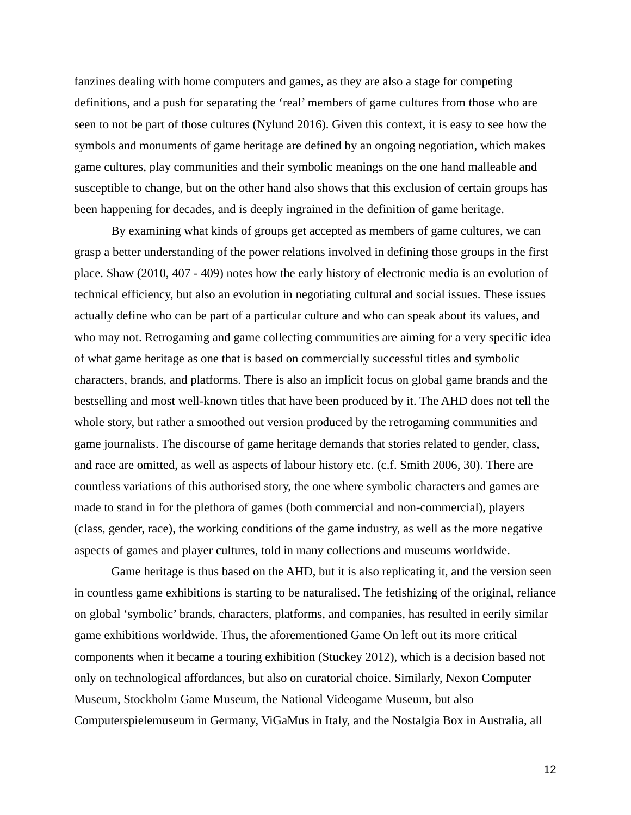fanzines dealing with home computers and games, as they are also a stage for competing definitions, and a push for separating the 'real' members of game cultures from those who are seen to not be part of those cultures (Nylund 2016). Given this context, it is easy to see how the symbols and monuments of game heritage are defined by an ongoing negotiation, which makes game cultures, play communities and their symbolic meanings on the one hand malleable and susceptible to change, but on the other hand also shows that this exclusion of certain groups has been happening for decades, and is deeply ingrained in the definition of game heritage.

By examining what kinds of groups get accepted as members of game cultures, we can grasp a better understanding of the power relations involved in defining those groups in the first place. Shaw (2010, 407 - 409) notes how the early history of electronic media is an evolution of technical efficiency, but also an evolution in negotiating cultural and social issues. These issues actually define who can be part of a particular culture and who can speak about its values, and who may not. Retrogaming and game collecting communities are aiming for a very specific idea of what game heritage as one that is based on commercially successful titles and symbolic characters, brands, and platforms. There is also an implicit focus on global game brands and the bestselling and most well-known titles that have been produced by it. The AHD does not tell the whole story, but rather a smoothed out version produced by the retrogaming communities and game journalists. The discourse of game heritage demands that stories related to gender, class, and race are omitted, as well as aspects of labour history etc. (c.f. Smith 2006, 30). There are countless variations of this authorised story, the one where symbolic characters and games are made to stand in for the plethora of games (both commercial and non-commercial), players (class, gender, race), the working conditions of the game industry, as well as the more negative aspects of games and player cultures, told in many collections and museums worldwide.

Game heritage is thus based on the AHD, but it is also replicating it, and the version seen in countless game exhibitions is starting to be naturalised. The fetishizing of the original, reliance on global 'symbolic' brands, characters, platforms, and companies, has resulted in eerily similar game exhibitions worldwide. Thus, the aforementioned Game On left out its more critical components when it became a touring exhibition (Stuckey 2012), which is a decision based not only on technological affordances, but also on curatorial choice. Similarly, Nexon Computer Museum, Stockholm Game Museum, the National Videogame Museum, but also Computerspielemuseum in Germany, ViGaMus in Italy, and the Nostalgia Box in Australia, all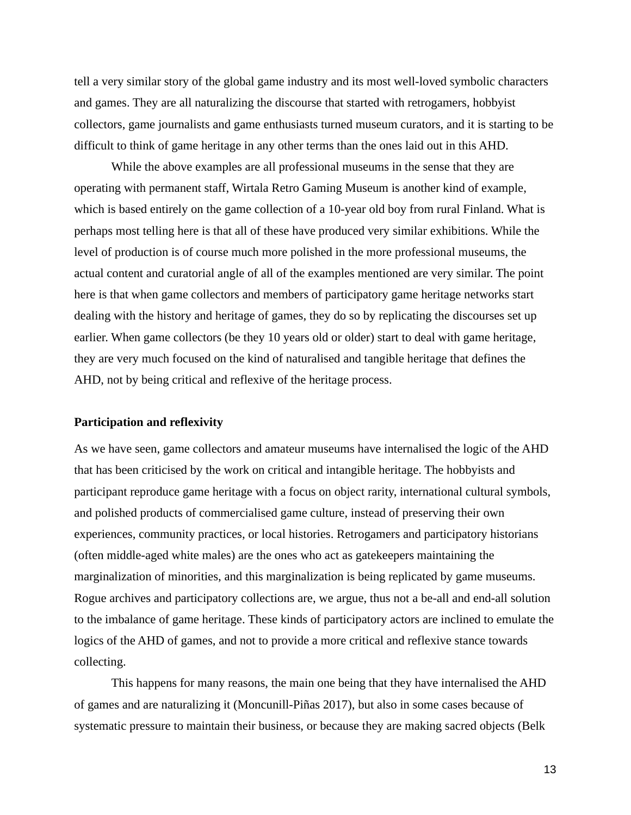tell a very similar story of the global game industry and its most well-loved symbolic characters and games. They are all naturalizing the discourse that started with retrogamers, hobbyist collectors, game journalists and game enthusiasts turned museum curators, and it is starting to be difficult to think of game heritage in any other terms than the ones laid out in this AHD.

While the above examples are all professional museums in the sense that they are operating with permanent staff, Wirtala Retro Gaming Museum is another kind of example, which is based entirely on the game collection of a 10-year old boy from rural Finland. What is perhaps most telling here is that all of these have produced very similar exhibitions. While the level of production is of course much more polished in the more professional museums, the actual content and curatorial angle of all of the examples mentioned are very similar. The point here is that when game collectors and members of participatory game heritage networks start dealing with the history and heritage of games, they do so by replicating the discourses set up earlier. When game collectors (be they 10 years old or older) start to deal with game heritage, they are very much focused on the kind of naturalised and tangible heritage that defines the AHD, not by being critical and reflexive of the heritage process.

## **Participation and reflexivity**

As we have seen, game collectors and amateur museums have internalised the logic of the AHD that has been criticised by the work on critical and intangible heritage. The hobbyists and participant reproduce game heritage with a focus on object rarity, international cultural symbols, and polished products of commercialised game culture, instead of preserving their own experiences, community practices, or local histories. Retrogamers and participatory historians (often middle-aged white males) are the ones who act as gatekeepers maintaining the marginalization of minorities, and this marginalization is being replicated by game museums. Rogue archives and participatory collections are, we argue, thus not a be-all and end-all solution to the imbalance of game heritage. These kinds of participatory actors are inclined to emulate the logics of the AHD of games, and not to provide a more critical and reflexive stance towards collecting.

This happens for many reasons, the main one being that they have internalised the AHD of games and are naturalizing it (Moncunill-Piñas 2017), but also in some cases because of systematic pressure to maintain their business, or because they are making sacred objects (Belk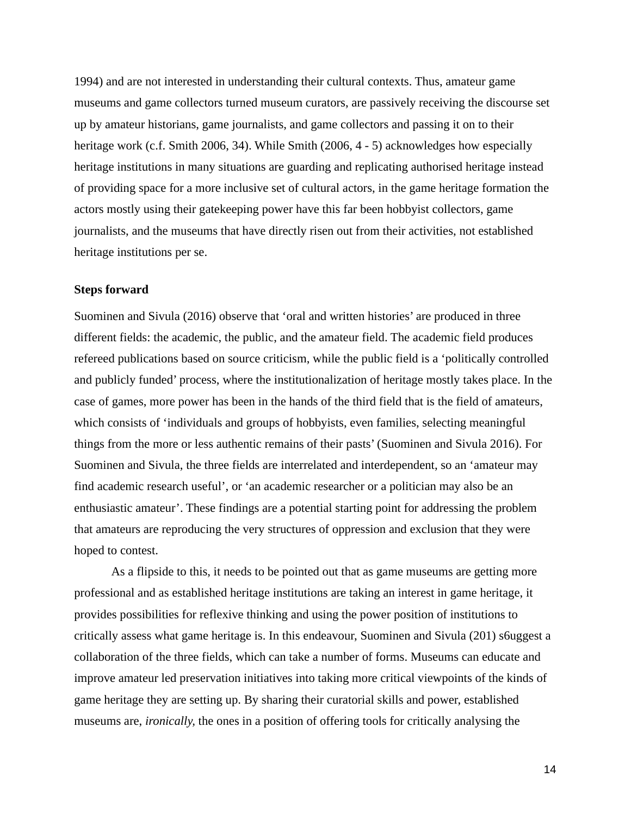1994) and are not interested in understanding their cultural contexts. Thus, amateur game museums and game collectors turned museum curators, are passively receiving the discourse set up by amateur historians, game journalists, and game collectors and passing it on to their heritage work (c.f. Smith 2006, 34). While Smith (2006, 4 - 5) acknowledges how especially heritage institutions in many situations are guarding and replicating authorised heritage instead of providing space for a more inclusive set of cultural actors, in the game heritage formation the actors mostly using their gatekeeping power have this far been hobbyist collectors, game journalists, and the museums that have directly risen out from their activities, not established heritage institutions per se.

# **Steps forward**

Suominen and Sivula (2016) observe that 'oral and written histories' are produced in three different fields: the academic, the public, and the amateur field. The academic field produces refereed publications based on source criticism, while the public field is a 'politically controlled and publicly funded' process, where the institutionalization of heritage mostly takes place. In the case of games, more power has been in the hands of the third field that is the field of amateurs, which consists of 'individuals and groups of hobbyists, even families, selecting meaningful things from the more or less authentic remains of their pasts' (Suominen and Sivula 2016). For Suominen and Sivula, the three fields are interrelated and interdependent, so an 'amateur may find academic research useful', or 'an academic researcher or a politician may also be an enthusiastic amateur'. These findings are a potential starting point for addressing the problem that amateurs are reproducing the very structures of oppression and exclusion that they were hoped to contest.

As a flipside to this, it needs to be pointed out that as game museums are getting more professional and as established heritage institutions are taking an interest in game heritage, it provides possibilities for reflexive thinking and using the power position of institutions to critically assess what game heritage is. In this endeavour, Suominen and Sivula (201) s6uggest a collaboration of the three fields, which can take a number of forms. Museums can educate and improve amateur led preservation initiatives into taking more critical viewpoints of the kinds of game heritage they are setting up. By sharing their curatorial skills and power, established museums are, *ironically,* the ones in a position of offering tools for critically analysing the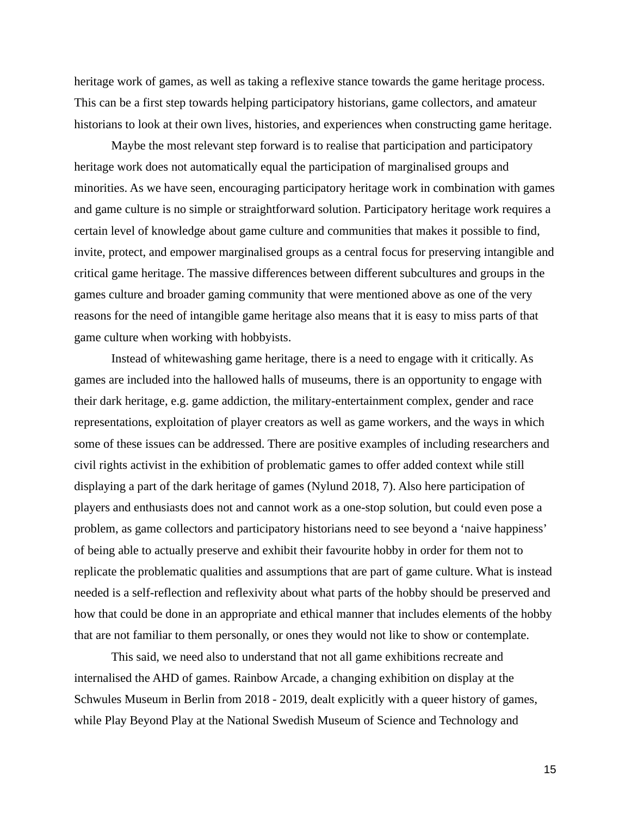heritage work of games, as well as taking a reflexive stance towards the game heritage process. This can be a first step towards helping participatory historians, game collectors, and amateur historians to look at their own lives, histories, and experiences when constructing game heritage.

Maybe the most relevant step forward is to realise that participation and participatory heritage work does not automatically equal the participation of marginalised groups and minorities. As we have seen, encouraging participatory heritage work in combination with games and game culture is no simple or straightforward solution. Participatory heritage work requires a certain level of knowledge about game culture and communities that makes it possible to find, invite, protect, and empower marginalised groups as a central focus for preserving intangible and critical game heritage. The massive differences between different subcultures and groups in the games culture and broader gaming community that were mentioned above as one of the very reasons for the need of intangible game heritage also means that it is easy to miss parts of that game culture when working with hobbyists.

Instead of whitewashing game heritage, there is a need to engage with it critically. As games are included into the hallowed halls of museums, there is an opportunity to engage with their dark heritage, e.g. game addiction, the military-entertainment complex, gender and race representations, exploitation of player creators as well as game workers, and the ways in which some of these issues can be addressed. There are positive examples of including researchers and civil rights activist in the exhibition of problematic games to offer added context while still displaying a part of the dark heritage of games (Nylund 2018, 7). Also here participation of players and enthusiasts does not and cannot work as a one-stop solution, but could even pose a problem, as game collectors and participatory historians need to see beyond a 'naive happiness' of being able to actually preserve and exhibit their favourite hobby in order for them not to replicate the problematic qualities and assumptions that are part of game culture. What is instead needed is a self-reflection and reflexivity about what parts of the hobby should be preserved and how that could be done in an appropriate and ethical manner that includes elements of the hobby that are not familiar to them personally, or ones they would not like to show or contemplate.

This said, we need also to understand that not all game exhibitions recreate and internalised the AHD of games. Rainbow Arcade, a changing exhibition on display at the Schwules Museum in Berlin from 2018 - 2019, dealt explicitly with a queer history of games, while Play Beyond Play at the National Swedish Museum of Science and Technology and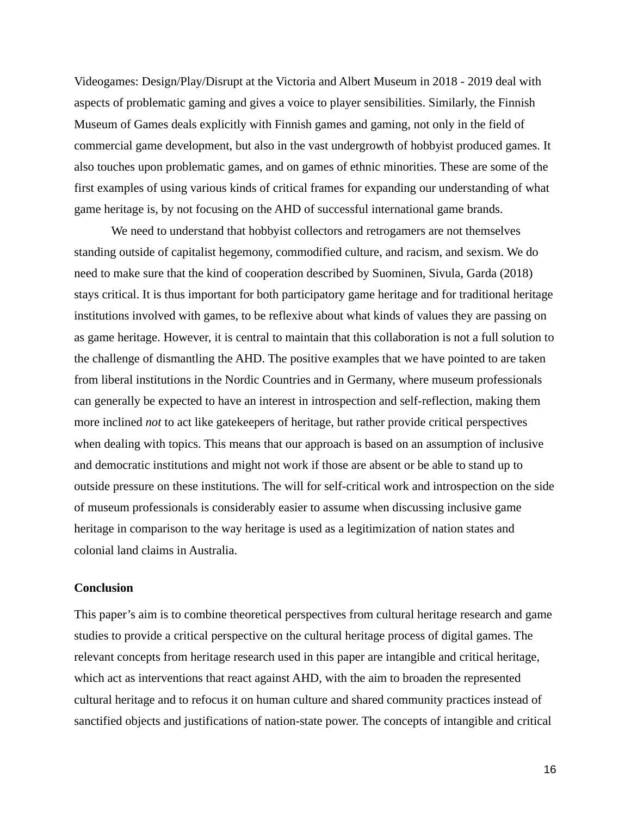Videogames: Design/Play/Disrupt at the Victoria and Albert Museum in 2018 - 2019 deal with aspects of problematic gaming and gives a voice to player sensibilities. Similarly, the Finnish Museum of Games deals explicitly with Finnish games and gaming, not only in the field of commercial game development, but also in the vast undergrowth of hobbyist produced games. It also touches upon problematic games, and on games of ethnic minorities. These are some of the first examples of using various kinds of critical frames for expanding our understanding of what game heritage is, by not focusing on the AHD of successful international game brands.

We need to understand that hobbyist collectors and retrogamers are not themselves standing outside of capitalist hegemony, commodified culture, and racism, and sexism. We do need to make sure that the kind of cooperation described by Suominen, Sivula, Garda (2018) stays critical. It is thus important for both participatory game heritage and for traditional heritage institutions involved with games, to be reflexive about what kinds of values they are passing on as game heritage. However, it is central to maintain that this collaboration is not a full solution to the challenge of dismantling the AHD. The positive examples that we have pointed to are taken from liberal institutions in the Nordic Countries and in Germany, where museum professionals can generally be expected to have an interest in introspection and self-reflection, making them more inclined *not* to act like gatekeepers of heritage, but rather provide critical perspectives when dealing with topics. This means that our approach is based on an assumption of inclusive and democratic institutions and might not work if those are absent or be able to stand up to outside pressure on these institutions. The will for self-critical work and introspection on the side of museum professionals is considerably easier to assume when discussing inclusive game heritage in comparison to the way heritage is used as a legitimization of nation states and colonial land claims in Australia.

## **Conclusion**

This paper's aim is to combine theoretical perspectives from cultural heritage research and game studies to provide a critical perspective on the cultural heritage process of digital games. The relevant concepts from heritage research used in this paper are intangible and critical heritage, which act as interventions that react against AHD, with the aim to broaden the represented cultural heritage and to refocus it on human culture and shared community practices instead of sanctified objects and justifications of nation-state power. The concepts of intangible and critical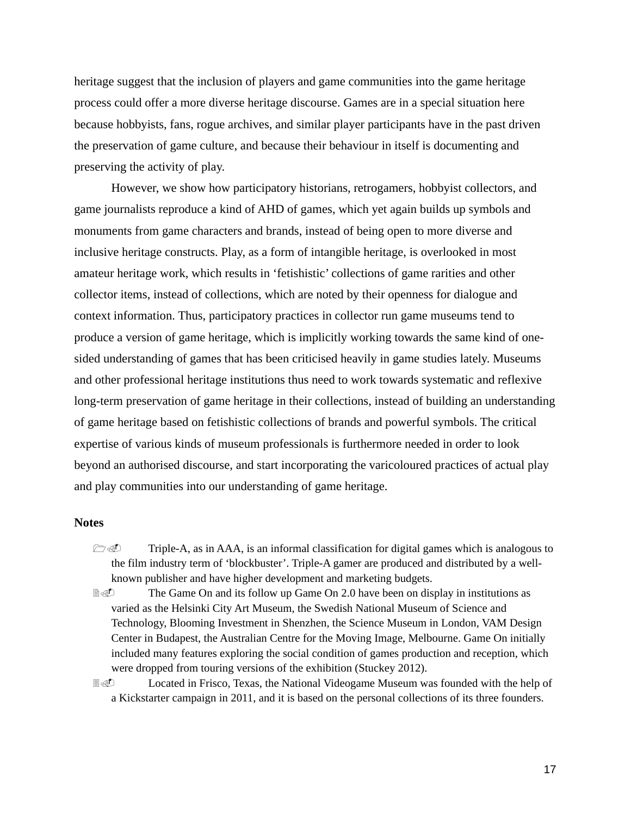heritage suggest that the inclusion of players and game communities into the game heritage process could offer a more diverse heritage discourse. Games are in a special situation here because hobbyists, fans, rogue archives, and similar player participants have in the past driven the preservation of game culture, and because their behaviour in itself is documenting and preserving the activity of play.

However, we show how participatory historians, retrogamers, hobbyist collectors, and game journalists reproduce a kind of AHD of games, which yet again builds up symbols and monuments from game characters and brands, instead of being open to more diverse and inclusive heritage constructs. Play, as a form of intangible heritage, is overlooked in most amateur heritage work, which results in 'fetishistic' collections of game rarities and other collector items, instead of collections, which are noted by their openness for dialogue and context information. Thus, participatory practices in collector run game museums tend to produce a version of game heritage, which is implicitly working towards the same kind of onesided understanding of games that has been criticised heavily in game studies lately. Museums and other professional heritage institutions thus need to work towards systematic and reflexive long-term preservation of game heritage in their collections, instead of building an understanding of game heritage based on fetishistic collections of brands and powerful symbols. The critical expertise of various kinds of museum professionals is furthermore needed in order to look beyond an authorised discourse, and start incorporating the varicoloured practices of actual play and play communities into our understanding of game heritage.

#### **Notes**

- $\Box$  Triple-A, as in AAA, is an informal classification for digital games which is analogous to the film industry term of 'blockbuster'. Triple-A gamer are produced and distributed by a wellknown publisher and have higher development and marketing budgets.
- $\blacksquare$  The Game On and its follow up Game On 2.0 have been on display in institutions as varied as the Helsinki City Art Museum, the Swedish National Museum of Science and Technology, Blooming Investment in Shenzhen, the Science Museum in London, VAM Design Center in Budapest, the Australian Centre for the Moving Image, Melbourne. Game On initially included many features exploring the social condition of games production and reception, which were dropped from touring versions of the exhibition (Stuckey 2012).
- **Located in Frisco, Texas, the National Videogame Museum was founded with the help of** a Kickstarter campaign in 2011, and it is based on the personal collections of its three founders.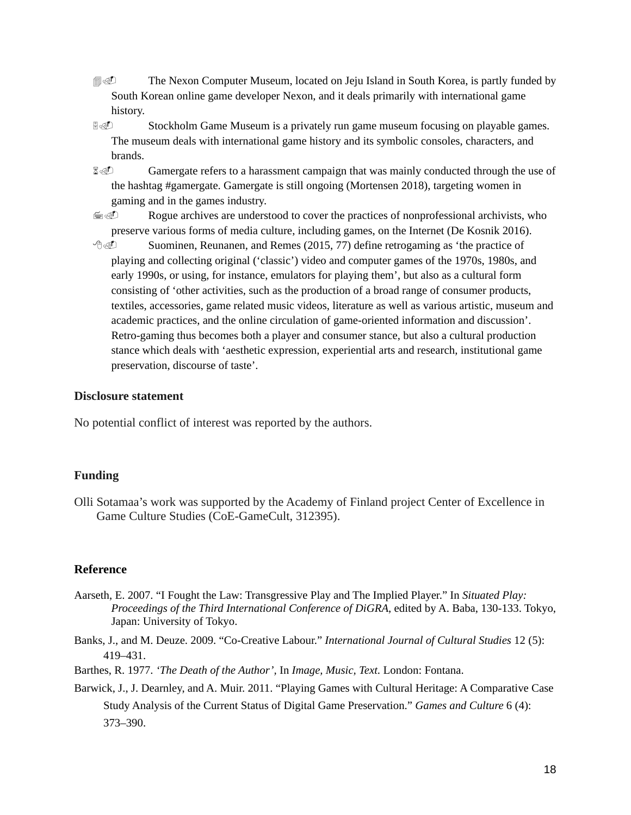- **The Nexon Computer Museum, located on Jeju Island in South Korea, is partly funded by** South Korean online game developer Nexon, and it deals primarily with international game history.
- Stockholm Game Museum is a privately run game museum focusing on playable games. The museum deals with international game history and its symbolic consoles, characters, and brands.
- **S**<sup>§</sup> Gamergate refers to a harassment campaign that was mainly conducted through the use of the hashtag #gamergate. Gamergate is still ongoing (Mortensen 2018), targeting women in gaming and in the games industry.
- Rogue archives are understood to cover the practices of nonprofessional archivists, who preserve various forms of media culture, including games, on the Internet (De Kosnik 2016).
- $\mathcal{L}$  Suominen, Reunanen, and Remes (2015, 77) define retrogaming as 'the practice of playing and collecting original ('classic') video and computer games of the 1970s, 1980s, and early 1990s, or using, for instance, emulators for playing them', but also as a cultural form consisting of 'other activities, such as the production of a broad range of consumer products, textiles, accessories, game related music videos, literature as well as various artistic, museum and academic practices, and the online circulation of game-oriented information and discussion'. Retro-gaming thus becomes both a player and consumer stance, but also a cultural production stance which deals with 'aesthetic expression, experiential arts and research, institutional game preservation, discourse of taste'.

#### **Disclosure statement**

No potential conflict of interest was reported by the authors.

# **Funding**

Olli Sotamaa's work was supported by the Academy of Finland project Center of Excellence in Game Culture Studies (CoE-GameCult, 312395).

#### **Reference**

- Aarseth, E. 2007. "I Fought the Law: Transgressive Play and The Implied Player." In *Situated Play: Proceedings of the Third International Conference of DiGRA*, edited by A. Baba, 130-133. Tokyo, Japan: University of Tokyo.
- Banks, J., and M. Deuze. 2009. "Co-Creative Labour." *International Journal of Cultural Studies* 12 (5): 419–431.
- Barthes, R. 1977. *'The Death of the Author',* In *Image, Music, Text.* London: Fontana.
- Barwick, J., J. Dearnley, and A. Muir. 2011. "Playing Games with Cultural Heritage: A Comparative Case Study Analysis of the Current Status of Digital Game Preservation." *Games and Culture* 6 (4): 373–390.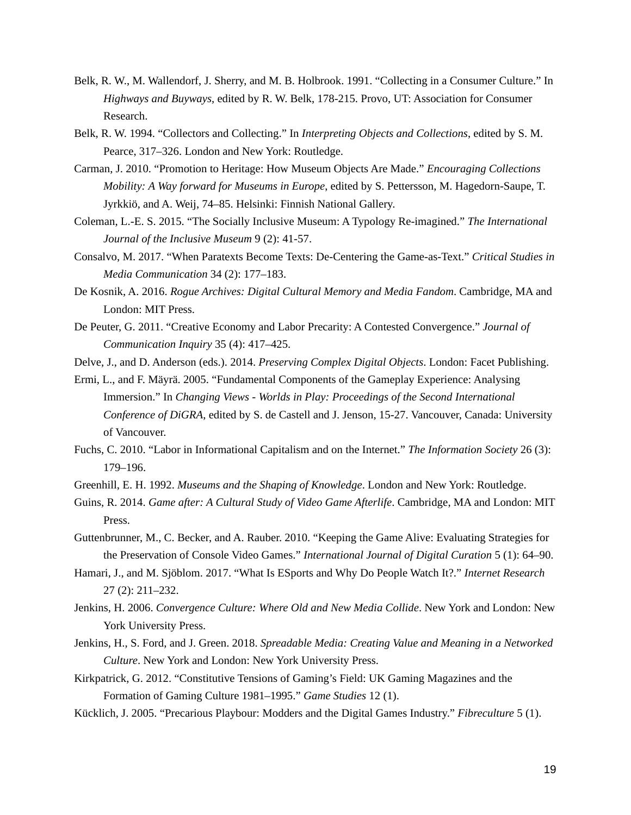- Belk, R. W., M. Wallendorf, J. Sherry, and M. B. Holbrook. 1991. "Collecting in a Consumer Culture." In *Highways and Buyways*, edited by R. W. Belk, 178-215. Provo, UT: Association for Consumer Research.
- Belk, R. W. 1994. "Collectors and Collecting." In *Interpreting Objects and Collections*, edited by S. M. Pearce, 317–326. London and New York: Routledge.
- Carman, J. 2010. "Promotion to Heritage: How Museum Objects Are Made." *Encouraging Collections Mobility: A Way forward for Museums in Europe*, edited by S. Pettersson, M. Hagedorn-Saupe, T. Jyrkkiö, and A. Weij, 74–85. Helsinki: Finnish National Gallery.
- Coleman, L.-E. S. 2015. "The Socially Inclusive Museum: A Typology Re-imagined." *The International Journal of the Inclusive Museum* 9 (2): 41-57.
- Consalvo, M. 2017. "When Paratexts Become Texts: De-Centering the Game-as-Text." *Critical Studies in Media Communication* 34 (2): 177–183.
- De Kosnik, A. 2016. *Rogue Archives: Digital Cultural Memory and Media Fandom*. Cambridge, MA and London: MIT Press.
- De Peuter, G. 2011. "Creative Economy and Labor Precarity: A Contested Convergence." *Journal of Communication Inquiry* 35 (4): 417–425.
- Delve, J., and D. Anderson (eds.). 2014. *Preserving Complex Digital Objects*. London: Facet Publishing.
- Ermi, L., and F. Mäyrä. 2005. "Fundamental Components of the Gameplay Experience: Analysing Immersion." In *Changing Views - Worlds in Play: Proceedings of the Second International Conference of DiGRA*, edited by S. de Castell and J. Jenson, 15-27. Vancouver, Canada: University of Vancouver.
- Fuchs, C. 2010. "Labor in Informational Capitalism and on the Internet." *The Information Society* 26 (3): 179–196.
- Greenhill, E. H. 1992. *Museums and the Shaping of Knowledge*. London and New York: Routledge.
- Guins, R. 2014. *Game after: A Cultural Study of Video Game Afterlife*. Cambridge, MA and London: MIT Press.
- Guttenbrunner, M., C. Becker, and A. Rauber. 2010. "Keeping the Game Alive: Evaluating Strategies for the Preservation of Console Video Games." *International Journal of Digital Curation* 5 (1): 64–90.
- Hamari, J., and M. Sjöblom. 2017. "What Is ESports and Why Do People Watch It?." *Internet Research* 27 (2): 211–232.
- Jenkins, H. 2006. *Convergence Culture: Where Old and New Media Collide*. New York and London: New York University Press.
- Jenkins, H., S. Ford, and J. Green. 2018. *Spreadable Media: Creating Value and Meaning in a Networked Culture*. New York and London: New York University Press.
- Kirkpatrick, G. 2012. "Constitutive Tensions of Gaming's Field: UK Gaming Magazines and the Formation of Gaming Culture 1981–1995." *Game Studies* 12 (1).
- Kücklich, J. 2005. "Precarious Playbour: Modders and the Digital Games Industry." *Fibreculture* 5 (1).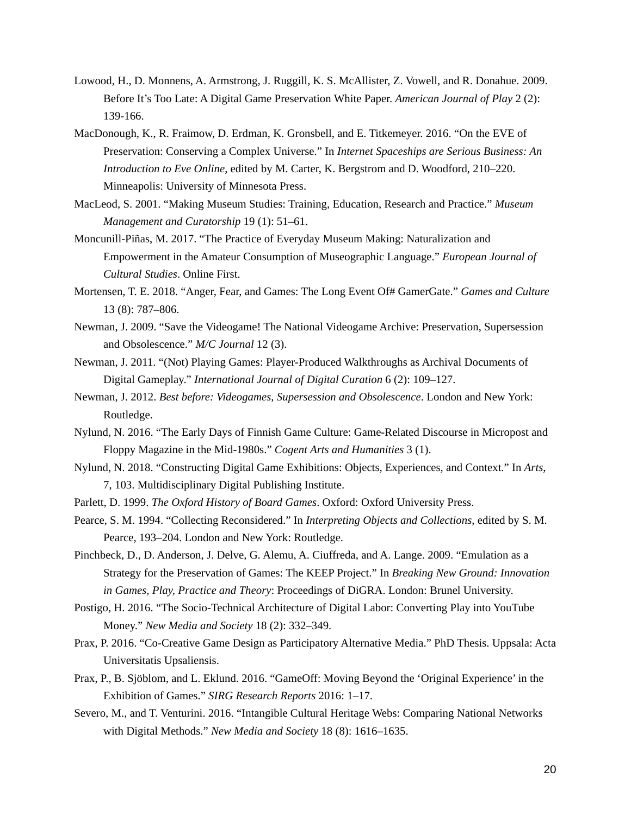- Lowood, H., D. Monnens, A. Armstrong, J. Ruggill, K. S. McAllister, Z. Vowell, and R. Donahue. 2009. Before It's Too Late: A Digital Game Preservation White Paper. *American Journal of Play* 2 (2): 139-166.
- MacDonough, K., R. Fraimow, D. Erdman, K. Gronsbell, and E. Titkemeyer. 2016. "On the EVE of Preservation: Conserving a Complex Universe." In *Internet Spaceships are Serious Business: An Introduction to Eve Online*, edited by M. Carter, K. Bergstrom and D. Woodford, 210–220. Minneapolis: University of Minnesota Press.
- MacLeod, S. 2001. "Making Museum Studies: Training, Education, Research and Practice." *Museum Management and Curatorship* 19 (1): 51–61.
- Moncunill-Piñas, M. 2017. "The Practice of Everyday Museum Making: Naturalization and Empowerment in the Amateur Consumption of Museographic Language." *European Journal of Cultural Studies*. Online First.
- Mortensen, T. E. 2018. "Anger, Fear, and Games: The Long Event Of# GamerGate." *Games and Culture* 13 (8): 787–806.
- Newman, J. 2009. "Save the Videogame! The National Videogame Archive: Preservation, Supersession and Obsolescence." *M/C Journal* 12 (3).
- Newman, J. 2011. "(Not) Playing Games: Player-Produced Walkthroughs as Archival Documents of Digital Gameplay." *International Journal of Digital Curation* 6 (2): 109–127.
- Newman, J. 2012. *Best before: Videogames, Supersession and Obsolescence*. London and New York: Routledge.
- Nylund, N. 2016. "The Early Days of Finnish Game Culture: Game-Related Discourse in Micropost and Floppy Magazine in the Mid-1980s." *Cogent Arts and Humanities* 3 (1).
- Nylund, N. 2018. "Constructing Digital Game Exhibitions: Objects, Experiences, and Context." In *Arts*, 7, 103. Multidisciplinary Digital Publishing Institute.
- Parlett, D. 1999. *The Oxford History of Board Games*. Oxford: Oxford University Press.
- Pearce, S. M. 1994. "Collecting Reconsidered." In *Interpreting Objects and Collections*, edited by S. M. Pearce, 193–204. London and New York: Routledge.
- Pinchbeck, D., D. Anderson, J. Delve, G. Alemu, A. Ciuffreda, and A. Lange. 2009. "Emulation as a Strategy for the Preservation of Games: The KEEP Project." In *Breaking New Ground: Innovation in Games, Play, Practice and Theory*: Proceedings of DiGRA. London: Brunel University.
- Postigo, H. 2016. "The Socio-Technical Architecture of Digital Labor: Converting Play into YouTube Money." *New Media and Society* 18 (2): 332–349.
- Prax, P. 2016. "Co-Creative Game Design as Participatory Alternative Media." PhD Thesis. Uppsala: Acta Universitatis Upsaliensis.
- Prax, P., B. Sjöblom, and L. Eklund. 2016. "GameOff: Moving Beyond the 'Original Experience' in the Exhibition of Games." *SIRG Research Reports* 2016: 1–17.
- Severo, M., and T. Venturini. 2016. "Intangible Cultural Heritage Webs: Comparing National Networks with Digital Methods." *New Media and Society* 18 (8): 1616–1635.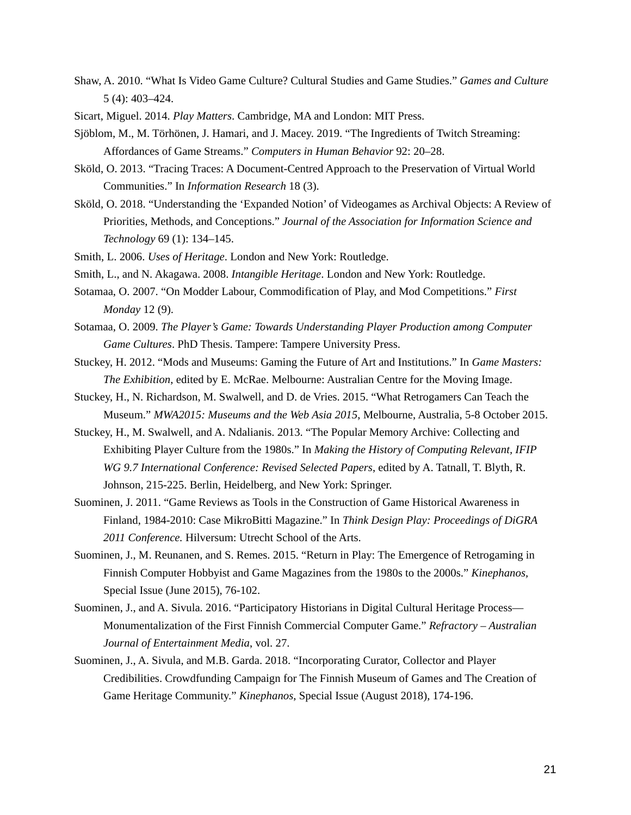- Shaw, A. 2010. "What Is Video Game Culture? Cultural Studies and Game Studies." *Games and Culture* 5 (4): 403–424.
- Sicart, Miguel. 2014. *Play Matters*. Cambridge, MA and London: MIT Press.
- Sjöblom, M., M. Törhönen, J. Hamari, and J. Macey. 2019. "The Ingredients of Twitch Streaming: Affordances of Game Streams." *Computers in Human Behavior* 92: 20–28.
- Sköld, O. 2013. "Tracing Traces: A Document-Centred Approach to the Preservation of Virtual World Communities." In *Information Research* 18 (3).
- Sköld, O. 2018. "Understanding the 'Expanded Notion' of Videogames as Archival Objects: A Review of Priorities, Methods, and Conceptions." *Journal of the Association for Information Science and Technology* 69 (1): 134–145.
- Smith, L. 2006. *Uses of Heritage*. London and New York: Routledge.
- Smith, L., and N. Akagawa. 2008. *Intangible Heritage*. London and New York: Routledge.
- Sotamaa, O. 2007. "On Modder Labour, Commodification of Play, and Mod Competitions." *First Monday* 12 (9).
- Sotamaa, O. 2009. *The Player's Game: Towards Understanding Player Production among Computer Game Cultures*. PhD Thesis. Tampere: Tampere University Press.
- Stuckey, H. 2012. "Mods and Museums: Gaming the Future of Art and Institutions." In *Game Masters: The Exhibition*, edited by E. McRae. Melbourne: Australian Centre for the Moving Image.
- Stuckey, H., N. Richardson, M. Swalwell, and D. de Vries. 2015. "What Retrogamers Can Teach the Museum." *MWA2015: Museums and the Web Asia 2015*, Melbourne, Australia, 5-8 October 2015.
- Stuckey, H., M. Swalwell, and A. Ndalianis. 2013. "The Popular Memory Archive: Collecting and Exhibiting Player Culture from the 1980s." In *Making the History of Computing Relevant, IFIP WG 9.7 International Conference: Revised Selected Papers*, edited by A. Tatnall, T. Blyth, R. Johnson, 215-225. Berlin, Heidelberg, and New York: Springer.
- Suominen, J. 2011. "Game Reviews as Tools in the Construction of Game Historical Awareness in Finland, 1984-2010: Case MikroBitti Magazine." In *Think Design Play: Proceedings of DiGRA 2011 Conference.* Hilversum: Utrecht School of the Arts.
- Suominen, J., M. Reunanen, and S. Remes. 2015. "Return in Play: The Emergence of Retrogaming in Finnish Computer Hobbyist and Game Magazines from the 1980s to the 2000s." *Kinephanos,*  Special Issue (June 2015), 76-102.
- Suominen, J., and A. Sivula. 2016. "Participatory Historians in Digital Cultural Heritage Process— Monumentalization of the First Finnish Commercial Computer Game." *Refractory – Australian Journal of Entertainment Media*, vol. 27.
- Suominen, J., A. Sivula, and M.B. Garda. 2018. "Incorporating Curator, Collector and Player Credibilities. Crowdfunding Campaign for The Finnish Museum of Games and The Creation of Game Heritage Community." *Kinephanos*, Special Issue (August 2018), 174-196.